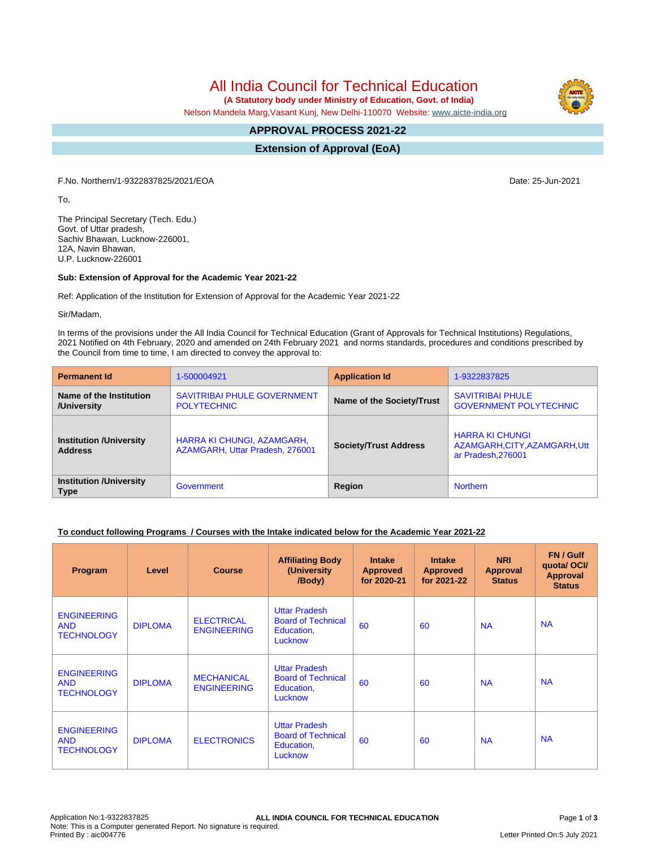All India Council for Technical Education

 **(A Statutory body under Ministry of Education, Govt. of India)**

Nelson Mandela Marg,Vasant Kunj, New Delhi-110070 Website: [www.aicte-india.org](http://www.aicte-india.org)

#### **APPROVAL PROCESS 2021-22 -**

**Extension of Approval (EoA)**

F.No. Northern/1-9322837825/2021/EOA Date: 25-Jun-2021

To,

The Principal Secretary (Tech. Edu.) Govt. of Uttar pradesh, Sachiv Bhawan, Lucknow-226001, 12A, Navin Bhawan, U.P. Lucknow-226001

# **Sub: Extension of Approval for the Academic Year 2021-22**

Ref: Application of the Institution for Extension of Approval for the Academic Year 2021-22

Sir/Madam,

In terms of the provisions under the All India Council for Technical Education (Grant of Approvals for Technical Institutions) Regulations, 2021 Notified on 4th February, 2020 and amended on 24th February 2021 and norms standards, procedures and conditions prescribed by the Council from time to time, I am directed to convey the approval to:

| <b>Permanent Id</b>                              | 1-500004921                                                   | <b>Application Id</b>        | 1-9322837825                                                                  |  |
|--------------------------------------------------|---------------------------------------------------------------|------------------------------|-------------------------------------------------------------------------------|--|
| Name of the Institution<br>/University           | SAVITRIBAI PHULE GOVERNMENT<br><b>POLYTECHNIC</b>             | Name of the Society/Trust    | <b>SAVITRIBAI PHULE</b><br><b>GOVERNMENT POLYTECHNIC</b>                      |  |
| <b>Institution /University</b><br><b>Address</b> | HARRA KI CHUNGI, AZAMGARH,<br>AZAMGARH, Uttar Pradesh, 276001 | <b>Society/Trust Address</b> | <b>HARRA KI CHUNGI</b><br>AZAMGARH, CITY, AZAMGARH, Utt<br>ar Pradesh, 276001 |  |
| <b>Institution /University</b><br><b>Type</b>    | Government                                                    | Region                       | <b>Northern</b>                                                               |  |

# **To conduct following Programs / Courses with the Intake indicated below for the Academic Year 2021-22**

| Program                                               | Level          | <b>Course</b>                           | <b>Affiliating Body</b><br>(University<br>/Body)                           | <b>Intake</b><br><b>Approved</b><br>for 2020-21 | <b>Intake</b><br><b>Approved</b><br>for 2021-22 | <b>NRI</b><br>Approval<br><b>Status</b> | FN / Gulf<br>quota/OCI/<br><b>Approval</b><br><b>Status</b> |
|-------------------------------------------------------|----------------|-----------------------------------------|----------------------------------------------------------------------------|-------------------------------------------------|-------------------------------------------------|-----------------------------------------|-------------------------------------------------------------|
| <b>ENGINEERING</b><br><b>AND</b><br><b>TECHNOLOGY</b> | <b>DIPLOMA</b> | <b>ELECTRICAL</b><br><b>ENGINEERING</b> | <b>Uttar Pradesh</b><br><b>Board of Technical</b><br>Education,<br>Lucknow | 60                                              | 60                                              | <b>NA</b>                               | <b>NA</b>                                                   |
| <b>ENGINEERING</b><br><b>AND</b><br><b>TECHNOLOGY</b> | <b>DIPLOMA</b> | <b>MECHANICAL</b><br><b>ENGINEERING</b> | <b>Uttar Pradesh</b><br><b>Board of Technical</b><br>Education,<br>Lucknow | 60                                              | 60                                              | <b>NA</b>                               | <b>NA</b>                                                   |
| <b>ENGINEERING</b><br><b>AND</b><br><b>TECHNOLOGY</b> | <b>DIPLOMA</b> | <b>ELECTRONICS</b>                      | <b>Uttar Pradesh</b><br><b>Board of Technical</b><br>Education,<br>Lucknow | 60                                              | 60                                              | <b>NA</b>                               | <b>NA</b>                                                   |

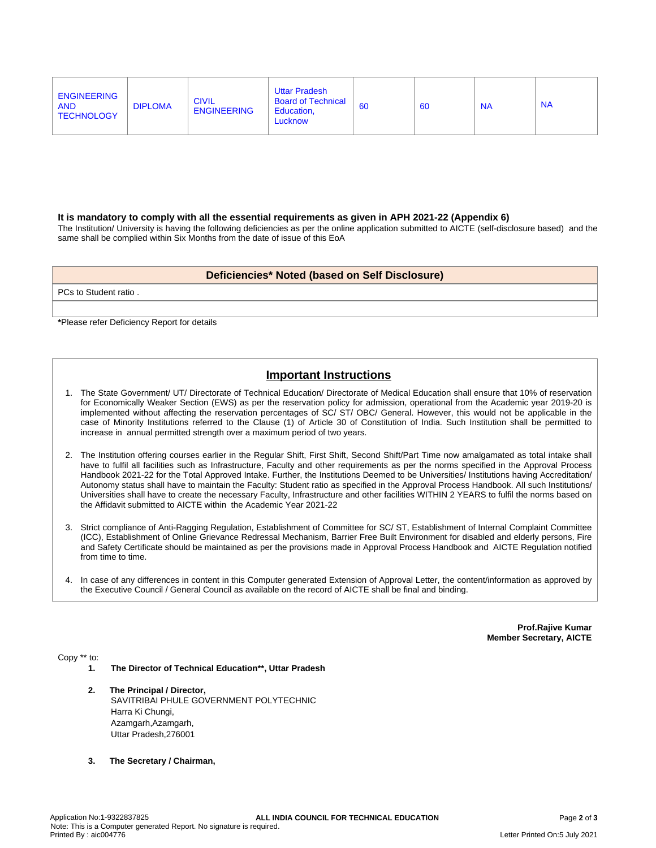| <b>ENGINEERING</b><br><b>AND</b><br><b>TECHNOLOGY</b> | <b>DIPLOMA</b> | <b>CIVIL</b><br><b>ENGINEERING</b> | <b>Uttar Pradesh</b><br><b>Board of Technical</b><br>Education.<br>Lucknow | 60 | 60 | <b>NA</b> | <b>NA</b> |
|-------------------------------------------------------|----------------|------------------------------------|----------------------------------------------------------------------------|----|----|-----------|-----------|
|-------------------------------------------------------|----------------|------------------------------------|----------------------------------------------------------------------------|----|----|-----------|-----------|

#### **It is mandatory to comply with all the essential requirements as given in APH 2021-22 (Appendix 6)**

The Institution/ University is having the following deficiencies as per the online application submitted to AICTE (self-disclosure based) and the same shall be complied within Six Months from the date of issue of this EoA

### **Deficiencies\* Noted (based on Self Disclosure)**

PCs to Student ratio .

**\***Please refer Deficiency Report for details

# **Important Instructions**

- 1. The State Government/ UT/ Directorate of Technical Education/ Directorate of Medical Education shall ensure that 10% of reservation for Economically Weaker Section (EWS) as per the reservation policy for admission, operational from the Academic year 2019-20 is implemented without affecting the reservation percentages of SC/ ST/ OBC/ General. However, this would not be applicable in the case of Minority Institutions referred to the Clause (1) of Article 30 of Constitution of India. Such Institution shall be permitted to increase in annual permitted strength over a maximum period of two years.
- 2. The Institution offering courses earlier in the Regular Shift, First Shift, Second Shift/Part Time now amalgamated as total intake shall have to fulfil all facilities such as Infrastructure, Faculty and other requirements as per the norms specified in the Approval Process Handbook 2021-22 for the Total Approved Intake. Further, the Institutions Deemed to be Universities/ Institutions having Accreditation/ Autonomy status shall have to maintain the Faculty: Student ratio as specified in the Approval Process Handbook. All such Institutions/ Universities shall have to create the necessary Faculty, Infrastructure and other facilities WITHIN 2 YEARS to fulfil the norms based on the Affidavit submitted to AICTE within the Academic Year 2021-22
- 3. Strict compliance of Anti-Ragging Regulation, Establishment of Committee for SC/ ST, Establishment of Internal Complaint Committee (ICC), Establishment of Online Grievance Redressal Mechanism, Barrier Free Built Environment for disabled and elderly persons, Fire and Safety Certificate should be maintained as per the provisions made in Approval Process Handbook and AICTE Regulation notified from time to time.
- 4. In case of any differences in content in this Computer generated Extension of Approval Letter, the content/information as approved by the Executive Council / General Council as available on the record of AICTE shall be final and binding.

**Prof.Rajive Kumar Member Secretary, AICTE**

Copy \*\* to:

- **1. The Director of Technical Education\*\*, Uttar Pradesh**
- **2. The Principal / Director,** SAVITRIBAI PHULE GOVERNMENT POLYTECHNIC Harra Ki Chungi, Azamgarh, Azamgarh, Uttar Pradesh,276001
- **3. The Secretary / Chairman,**